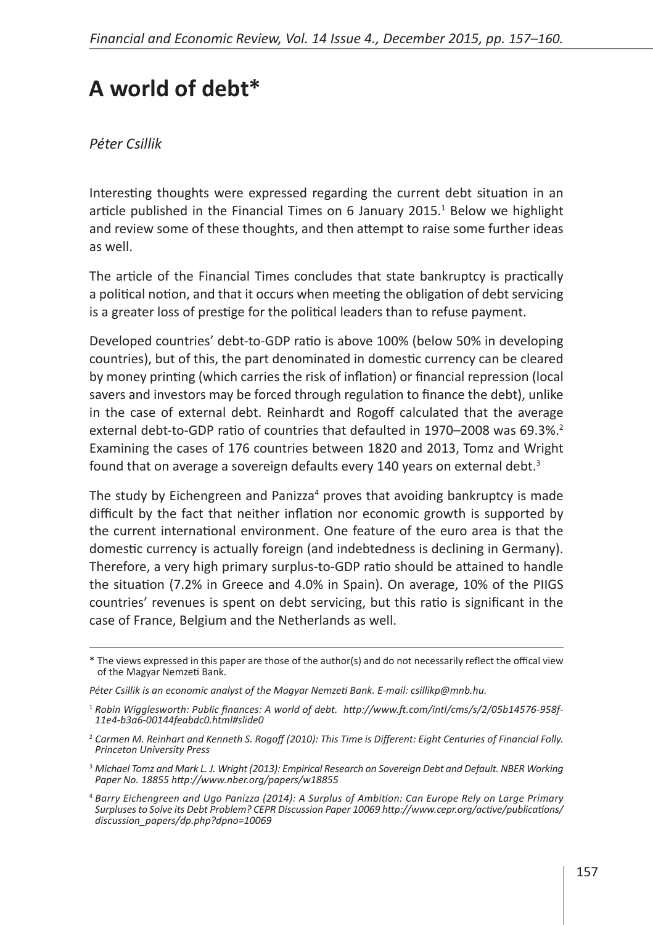## **A world of debt \***

## *Péter Csillik*

Interesting thoughts were expressed regarding the current debt situation in an article published in the Financial Times on 6 January 2015. $<sup>1</sup>$  Below we highlight</sup> and review some of these thoughts, and then attempt to raise some further ideas as well.

The article of the Financial Times concludes that state bankruptcy is practically a political notion, and that it occurs when meeting the obligation of debt servicing is a greater loss of prestige for the political leaders than to refuse payment.

Developed countries' debt-to-GDP ratio is above 100% (below 50% in developing countries), but of this, the part denominated in domestic currency can be cleared by money printing (which carries the risk of inflation) or financial repression (local savers and investors may be forced through regulation to finance the debt), unlike in the case of external debt. Reinhardt and Rogoff calculated that the average external debt-to-GDP ratio of countries that defaulted in 1970–2008 was 69.3%.<sup>2</sup> Examining the cases of 176 countries between 1820 and 2013, Tomz and Wright found that on average a sovereign defaults every 140 years on external debt.<sup>3</sup>

The study by Eichengreen and Panizza<sup>4</sup> proves that avoiding bankruptcy is made difficult by the fact that neither inflation nor economic growth is supported by the current international environment. One feature of the euro area is that the domestic currency is actually foreign (and indebtedness is declining in Germany). Therefore, a very high primary surplus-to-GDP ratio should be attained to handle the situation (7.2% in Greece and 4.0% in Spain). On average, 10% of the PIIGS countries' revenues is spent on debt servicing, but this ratio is significant in the case of France, Belgium and the Netherlands as well.

<sup>\*</sup> The views expressed in this paper are those of the author(s) and do not necessarily reflect the offical view of the Magyar Nemzeti Bank.

*Péter Csillik is an economic analyst of the Magyar Nemzeti Bank. E-mail: csillikp@mnb.hu.*

<sup>1</sup> *Robin Wigglesworth: Public finances: A world of debt. [http://www.ft.com/intl/cms/s/2/05b14576-958f-](http://www.ft.com/intl/cms/s/2/05b14576-958f-11e4-b3a6-00144feabdc0.html#slide0)[11e4-b3a6-00144feabdc0.html#slide0](http://www.ft.com/intl/cms/s/2/05b14576-958f-11e4-b3a6-00144feabdc0.html#slide0)*

<sup>2</sup> *Carmen M. Reinhart and Kenneth S. Rogoff (2010): This Time is Different: Eight Centuries of Financial Folly. Princeton University Press*

<sup>3</sup> *Michael Tomz and Mark L. J. Wright (2013): Empirical Research on Sovereign Debt and Default. NBER Working Paper No. 18855<http://www.nber.org/papers/w18855>*

<sup>4</sup> *Barry Eichengreen and Ugo Panizza (2014): A Surplus of Ambition: Can Europe Rely on Large Primary Surpluses to Solve its Debt Problem? CEPR Discussion Paper 10069 [http://www.cepr.org/active/publications/](http://www.cepr.org/active/publications/discussion_papers/dp.php?dpno=10069) [discussion\\_papers/dp.php?dpno=10069](http://www.cepr.org/active/publications/discussion_papers/dp.php?dpno=10069)*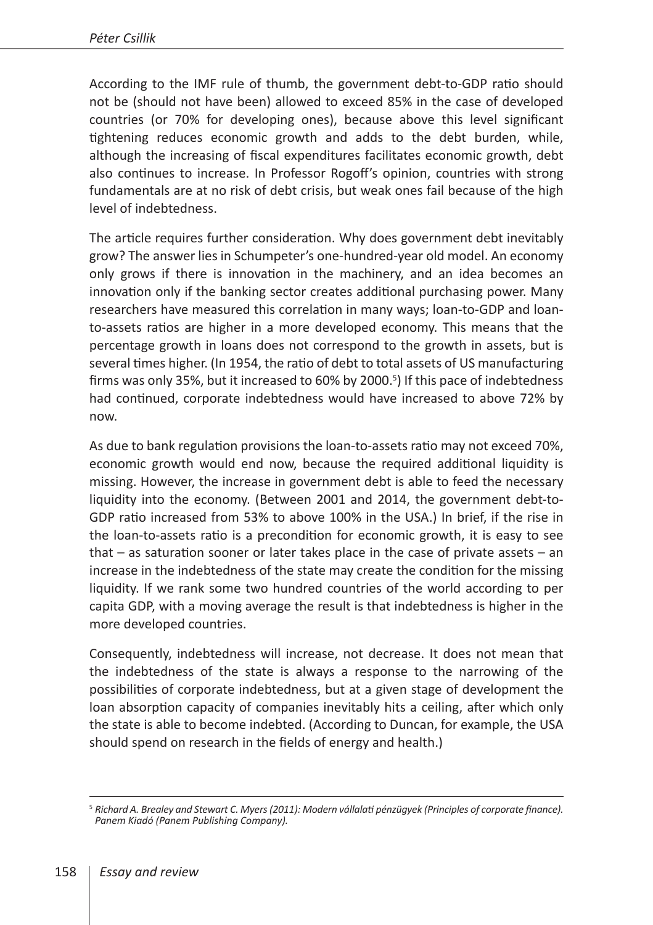According to the IMF rule of thumb, the government debt-to-GDP ratio should not be (should not have been) allowed to exceed 85% in the case of developed countries (or 70% for developing ones), because above this level significant tightening reduces economic growth and adds to the debt burden, while, although the increasing of fiscal expenditures facilitates economic growth, debt also continues to increase. In Professor Rogoff's opinion, countries with strong fundamentals are at no risk of debt crisis, but weak ones fail because of the high level of indebtedness.

The article requires further consideration. Why does government debt inevitably grow? The answer lies in Schumpeter's one-hundred-year old model. An economy only grows if there is innovation in the machinery, and an idea becomes an innovation only if the banking sector creates additional purchasing power. Many researchers have measured this correlation in many ways; loan-to-GDP and loanto-assets ratios are higher in a more developed economy. This means that the percentage growth in loans does not correspond to the growth in assets, but is several times higher. (In 1954, the ratio of debt to total assets of US manufacturing firms was only 35%, but it increased to 60% by 2000.<sup>5</sup>) If this pace of indebtedness had continued, corporate indebtedness would have increased to above 72% by now.

As due to bank regulation provisions the loan-to-assets ratio may not exceed 70%, economic growth would end now, because the required additional liquidity is missing. However, the increase in government debt is able to feed the necessary liquidity into the economy. (Between 2001 and 2014, the government debt-to-GDP ratio increased from 53% to above 100% in the USA.) In brief, if the rise in the loan-to-assets ratio is a precondition for economic growth, it is easy to see that – as saturation sooner or later takes place in the case of private assets – an increase in the indebtedness of the state may create the condition for the missing liquidity. If we rank some two hundred countries of the world according to per capita GDP, with a moving average the result is that indebtedness is higher in the more developed countries.

Consequently, indebtedness will increase, not decrease. It does not mean that the indebtedness of the state is always a response to the narrowing of the possibilities of corporate indebtedness, but at a given stage of development the loan absorption capacity of companies inevitably hits a ceiling, after which only the state is able to become indebted. (According to Duncan, for example, the USA should spend on research in the fields of energy and health.)

<sup>5</sup> *Richard A. Brealey and Stewart C. Myers (2011): Modern vállalati pénzügyek (Principles of corporate finance). Panem Kiadó (Panem Publishing Company).*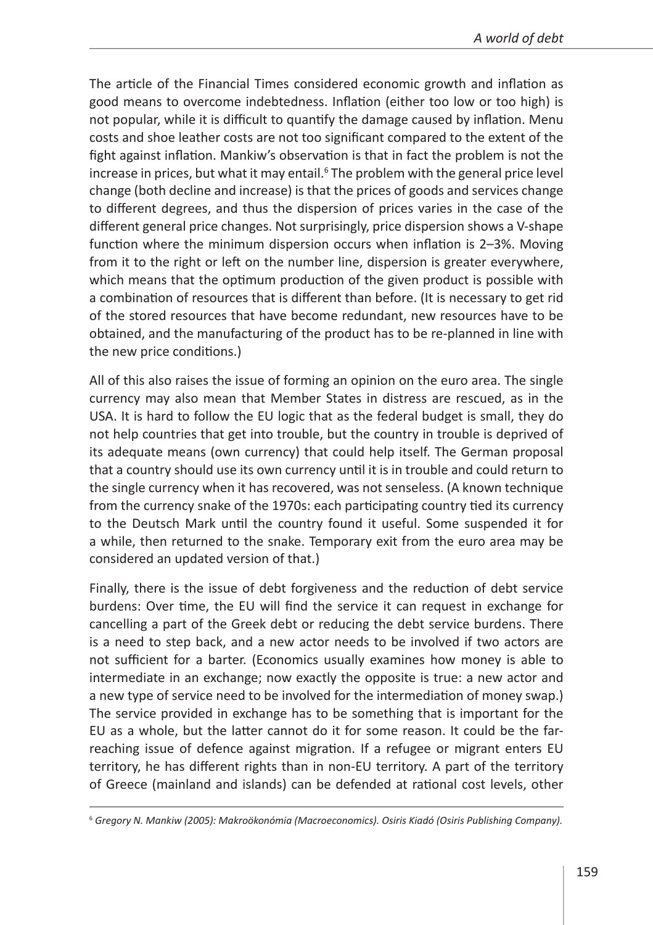*A world of debt*

The article of the Financial Times considered economic growth and inflation as good means to overcome indebtedness. Inflation (either too low or too high) is not popular, while it is difficult to quantify the damage caused by inflation. Menu costs and shoe leather costs are not too significant compared to the extent of the fight against inflation. Mankiw's observation is that in fact the problem is not the increase in prices, but what it may entail.<sup>6</sup> The problem with the general price level change (both decline and increase) is that the prices of goods and services change to different degrees, and thus the dispersion of prices varies in the case of the different general price changes. Not surprisingly, price dispersion shows a V-shape function where the minimum dispersion occurs when inflation is 2–3%. Moving from it to the right or left on the number line, dispersion is greater everywhere, which means that the optimum production of the given product is possible with a combination of resources that is different than before. (It is necessary to get rid of the stored resources that have become redundant, new resources have to be obtained, and the manufacturing of the product has to be re-planned in line with the new price conditions.)

All of this also raises the issue of forming an opinion on the euro area. The single currency may also mean that Member States in distress are rescued, as in the USA. It is hard to follow the EU logic that as the federal budget is small, they do not help countries that get into trouble, but the country in trouble is deprived of its adequate means (own currency) that could help itself. The German proposal that a country should use its own currency until it is in trouble and could return to the single currency when it has recovered, was not senseless. (A known technique from the currency snake of the 1970s: each participating country tied its currency to the Deutsch Mark until the country found it useful. Some suspended it for a while, then returned to the snake. Temporary exit from the euro area may be considered an updated version of that.)

Finally, there is the issue of debt forgiveness and the reduction of debt service burdens: Over time, the EU will find the service it can request in exchange for cancelling a part of the Greek debt or reducing the debt service burdens. There is a need to step back, and a new actor needs to be involved if two actors are not sufficient for a barter. (Economics usually examines how money is able to intermediate in an exchange; now exactly the opposite is true: a new actor and a new type of service need to be involved for the intermediation of money swap.) The service provided in exchange has to be something that is important for the EU as a whole, but the latter cannot do it for some reason. It could be the farreaching issue of defence against migration. If a refugee or migrant enters EU territory, he has different rights than in non-EU territory. A part of the territory of Greece (mainland and islands) can be defended at rational cost levels, other

<sup>6</sup> *Gregory N. Mankiw (2005): Makroökonómia (Macroeconomics). Osiris Kiadó (Osiris Publishing Company).*